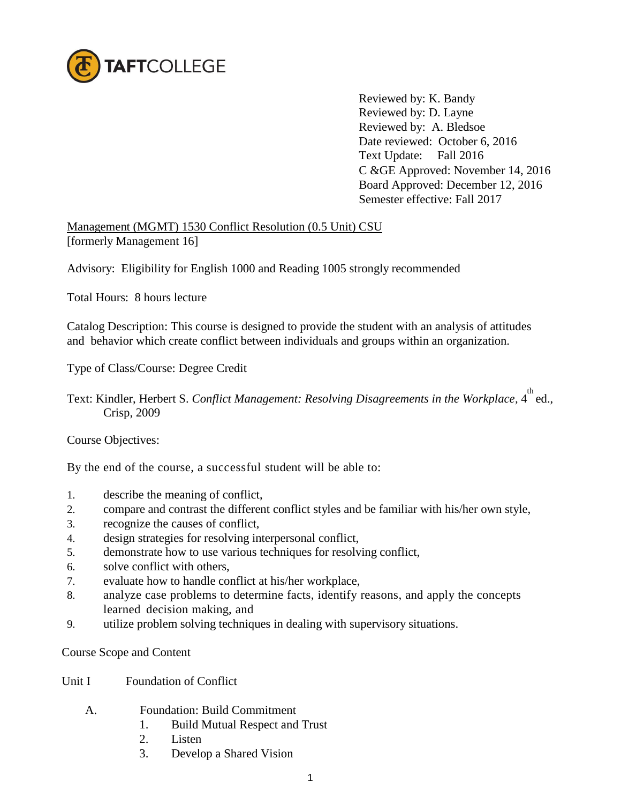

Reviewed by: K. Bandy Reviewed by: D. Layne Reviewed by: A. Bledsoe Date reviewed: October 6, 2016 Text Update: Fall 2016 C &GE Approved: November 14, 2016 Board Approved: December 12, 2016 Semester effective: Fall 2017

Management (MGMT) 1530 Conflict Resolution (0.5 Unit) CSU [formerly Management 16]

Advisory: Eligibility for English 1000 and Reading 1005 strongly recommended

Total Hours: 8 hours lecture

Catalog Description: This course is designed to provide the student with an analysis of attitudes and behavior which create conflict between individuals and groups within an organization.

Type of Class/Course: Degree Credit

Text: Kindler, Herbert S. *Conflict Management: Resolving Disagreements in the Workplace*, 4<sup>th</sup> ed., Crisp, 2009

Course Objectives:

By the end of the course, a successful student will be able to:

- 1. describe the meaning of conflict,
- 2. compare and contrast the different conflict styles and be familiar with his/her own style,
- 3. recognize the causes of conflict,
- 4. design strategies for resolving interpersonal conflict,
- 5. demonstrate how to use various techniques for resolving conflict,
- 6. solve conflict with others,
- 7. evaluate how to handle conflict at his/her workplace,
- 8. analyze case problems to determine facts, identify reasons, and apply the concepts learned decision making, and
- 9. utilize problem solving techniques in dealing with supervisory situations.

Course Scope and Content

- Unit I Foundation of Conflict
	- A. Foundation: Build Commitment
		- 1. Build Mutual Respect and Trust
		- 2. Listen
		- 3. Develop a Shared Vision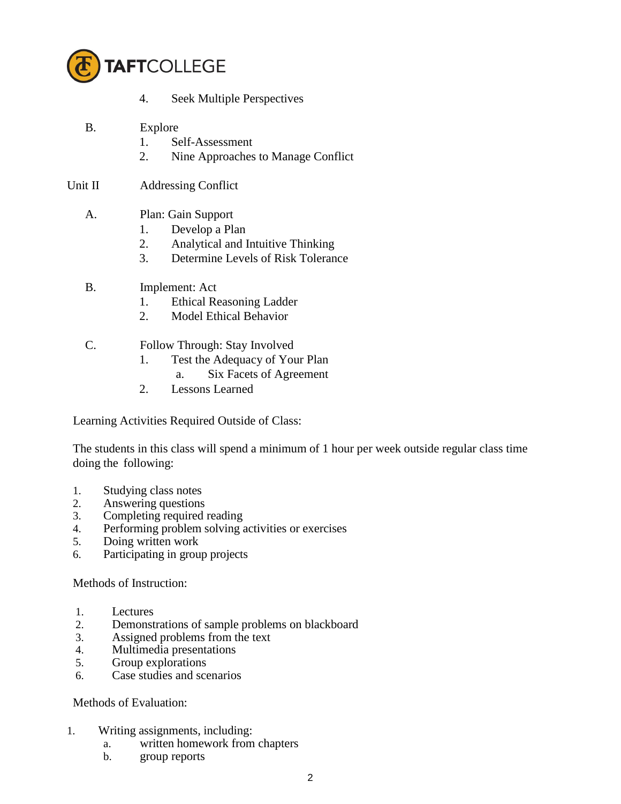

- 4. Seek Multiple Perspectives
- B. Explore
	- 1. Self-Assessment
	- 2. Nine Approaches to Manage Conflict
- Unit II Addressing Conflict

## A. Plan: Gain Support

- 1. Develop a Plan
- 2. Analytical and Intuitive Thinking
- 3. Determine Levels of Risk Tolerance
- B. Implement: Act
	- 1. Ethical Reasoning Ladder
	- 2. Model Ethical Behavior

## C. Follow Through: Stay Involved

- 1. Test the Adequacy of Your Plan
	- a. Six Facets of Agreement
- 2. Lessons Learned

Learning Activities Required Outside of Class:

The students in this class will spend a minimum of 1 hour per week outside regular class time doing the following:

- 1. Studying class notes
- 2. Answering questions
- 3. Completing required reading
- 4. Performing problem solving activities or exercises
- 5. Doing written work
- 6. Participating in group projects

Methods of Instruction:

- 1. Lectures
- 2. Demonstrations of sample problems on blackboard<br>3. Assigned problems from the text
- Assigned problems from the text
- 4. Multimedia presentations
- 5. Group explorations
- 6. Case studies and scenarios

## Methods of Evaluation:

- 1. Writing assignments, including:
	- a. written homework from chapters
	- b. group reports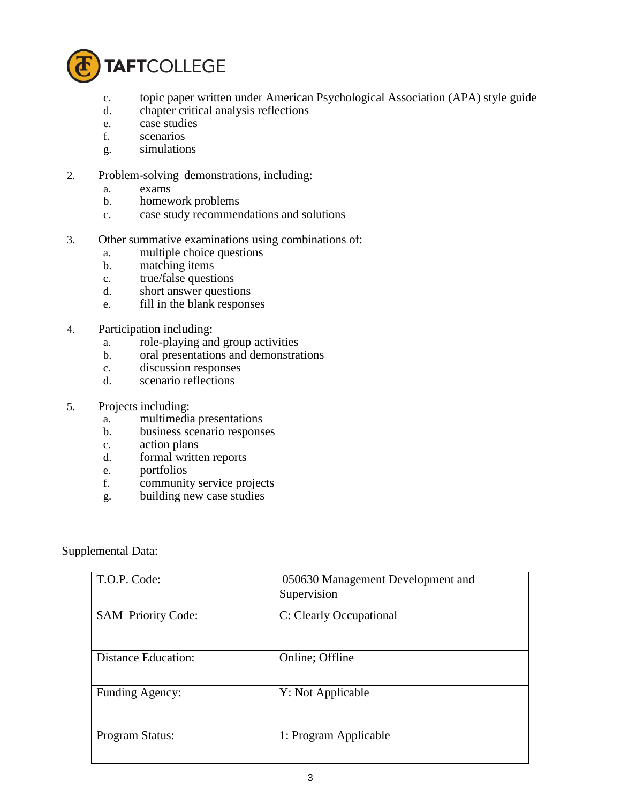

- c. topic paper written under American Psychological Association (APA) style guide
- d. chapter critical analysis reflections
- e. case studies
- f. scenarios
- g. simulations
- 2. Problem-solving demonstrations, including:
	- a. exams
	- b. homework problems
	- c. case study recommendations and solutions
- 3. Other summative examinations using combinations of:
	- a. multiple choice questions
	- b. matching items
	- c. true/false questions
	- d. short answer questions
	- e. fill in the blank responses
- 4. Participation including:
	- a. role-playing and group activities
	- b. oral presentations and demonstrations
	- c. discussion responses
	- d. scenario reflections
- 5. Projects including:
	- a. multimedia presentations
	- b. business scenario responses
	- c. action plans
	- d. formal written reports
	- e. portfolios
	- f. community service projects
	- g. building new case studies

Supplemental Data:

| T.O.P. Code:               | 050630 Management Development and<br>Supervision |
|----------------------------|--------------------------------------------------|
| <b>SAM Priority Code:</b>  | C: Clearly Occupational                          |
| <b>Distance Education:</b> | Online; Offline                                  |
| Funding Agency:            | Y: Not Applicable                                |
| Program Status:            | 1: Program Applicable                            |